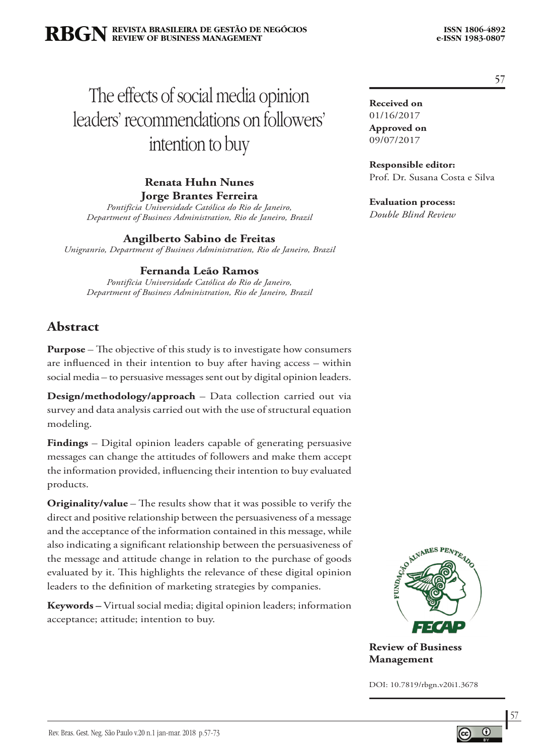# The effects of social media opinion leaders' recommendations on followers' intention to buy

**Renata Huhn Nunes Jorge Brantes Ferreira**

*Pontifícia Universidade Católica do Rio de Janeiro, Department of Business Administration, Rio de Janeiro, Brazil*

**Angilberto Sabino de Freitas**

*Unigranrio, Department of Business Administration, Rio de Janeiro, Brazil*

### **Fernanda Leão Ramos**

*Pontifícia Universidade Católica do Rio de Janeiro, Department of Business Administration, Rio de Janeiro, Brazil*

# **Abstract**

**Purpose** – The objective of this study is to investigate how consumers are influenced in their intention to buy after having access – within social media – to persuasive messages sent out by digital opinion leaders.

**Design/methodology/approach** – Data collection carried out via survey and data analysis carried out with the use of structural equation modeling.

**Findings** – Digital opinion leaders capable of generating persuasive messages can change the attitudes of followers and make them accept the information provided, influencing their intention to buy evaluated products.

**Originality/value** – The results show that it was possible to verify the direct and positive relationship between the persuasiveness of a message and the acceptance of the information contained in this message, while also indicating a significant relationship between the persuasiveness of the message and attitude change in relation to the purchase of goods evaluated by it. This highlights the relevance of these digital opinion leaders to the definition of marketing strategies by companies.

**Keywords –** Virtual social media; digital opinion leaders; information acceptance; attitude; intention to buy.



**Review of Business Management**

DOI: 10.7819/rbgn.v20i1.3678

57

**Received on** 01/16/2017 **Approved on** 09/07/2017

**Responsible editor:**  Prof. Dr. Susana Costa e Silva

**Evaluation process:** 

*Double Blind Review*

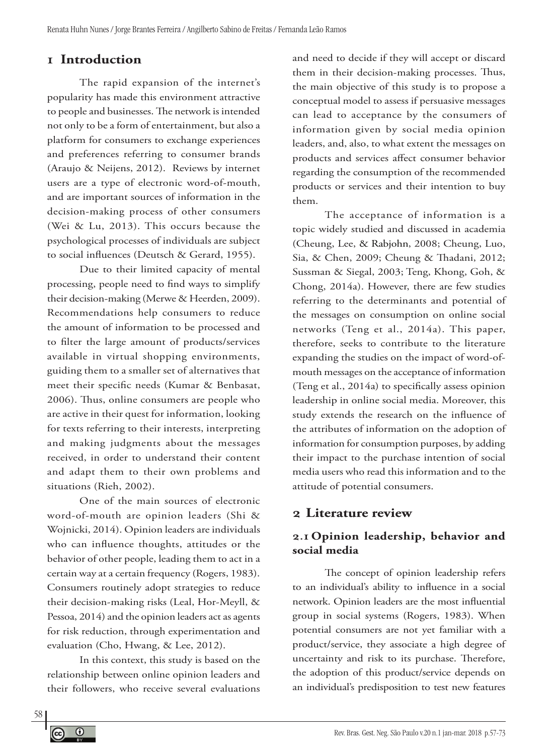# **1 Introduction**

The rapid expansion of the internet's popularity has made this environment attractive to people and businesses. The network is intended not only to be a form of entertainment, but also a platform for consumers to exchange experiences and preferences referring to consumer brands (Araujo & Neijens, 2012). Reviews by internet users are a type of electronic word-of-mouth, and are important sources of information in the decision-making process of other consumers (Wei & Lu, 2013). This occurs because the psychological processes of individuals are subject to social influences (Deutsch & Gerard, 1955).

Due to their limited capacity of mental processing, people need to find ways to simplify their decision-making (Merwe & Heerden, 2009). Recommendations help consumers to reduce the amount of information to be processed and to filter the large amount of products/services available in virtual shopping environments, guiding them to a smaller set of alternatives that meet their specific needs (Kumar & Benbasat, 2006). Thus, online consumers are people who are active in their quest for information, looking for texts referring to their interests, interpreting and making judgments about the messages received, in order to understand their content and adapt them to their own problems and situations (Rieh, 2002).

One of the main sources of electronic word-of-mouth are opinion leaders (Shi & Wojnicki, 2014). Opinion leaders are individuals who can influence thoughts, attitudes or the behavior of other people, leading them to act in a certain way at a certain frequency (Rogers, 1983). Consumers routinely adopt strategies to reduce their decision-making risks (Leal, Hor-Meyll, & Pessoa, 2014) and the opinion leaders act as agents for risk reduction, through experimentation and evaluation (Cho, Hwang, & Lee, 2012).

In this context, this study is based on the relationship between online opinion leaders and their followers, who receive several evaluations and need to decide if they will accept or discard them in their decision-making processes. Thus, the main objective of this study is to propose a conceptual model to assess if persuasive messages can lead to acceptance by the consumers of information given by social media opinion leaders, and, also, to what extent the messages on products and services affect consumer behavior regarding the consumption of the recommended products or services and their intention to buy them.

The acceptance of information is a topic widely studied and discussed in academia (Cheung, Lee, & Rabjohn, 2008; Cheung, Luo, Sia, & Chen, 2009; Cheung & Thadani, 2012; Sussman & Siegal, 2003; Teng, Khong, Goh, & Chong, 2014a). However, there are few studies referring to the determinants and potential of the messages on consumption on online social networks (Teng et al., 2014a). This paper, therefore, seeks to contribute to the literature expanding the studies on the impact of word-ofmouth messages on the acceptance of information (Teng et al., 2014a) to specifically assess opinion leadership in online social media. Moreover, this study extends the research on the influence of the attributes of information on the adoption of information for consumption purposes, by adding their impact to the purchase intention of social media users who read this information and to the attitude of potential consumers.

# **2 Literature review**

# **2.1 Opinion leadership, behavior and social media**

The concept of opinion leadership refers to an individual's ability to influence in a social network. Opinion leaders are the most influential group in social systems (Rogers, 1983). When potential consumers are not yet familiar with a product/service, they associate a high degree of uncertainty and risk to its purchase. Therefore, the adoption of this product/service depends on an individual's predisposition to test new features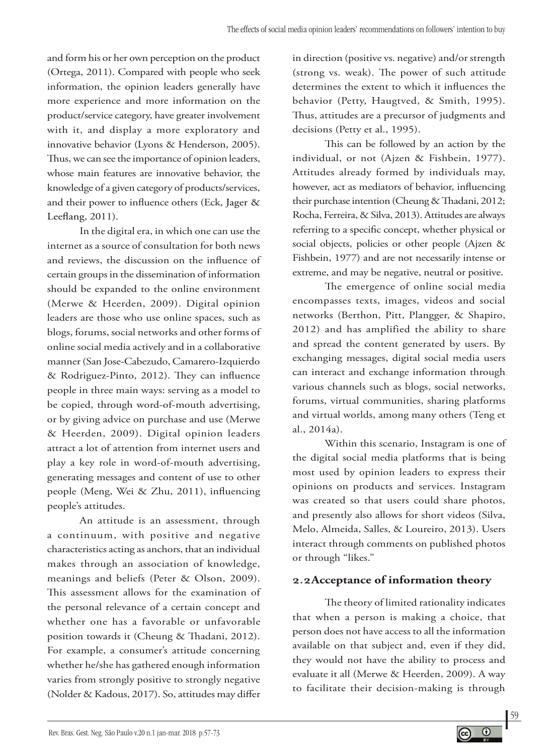and form his or her own perception on the product (Ortega, 2011). Compared with people who seek information, the opinion leaders generally have more experience and more information on the product/service category, have greater involvement with it, and display a more exploratory and innovative behavior (Lyons & Henderson, 2005). Thus, we can see the importance of opinion leaders, whose main features are innovative behavior, the knowledge of a given category of products/services, and their power to influence others (Eck, Jager & Leeflang, 2011).

In the digital era, in which one can use the internet as a source of consultation for both news and reviews, the discussion on the influence of certain groups in the dissemination of information should be expanded to the online environment (Merwe & Heerden, 2009). Digital opinion leaders are those who use online spaces, such as blogs, forums, social networks and other forms of online social media actively and in a collaborative manner (San Jose-Cabezudo, Camarero-Izquierdo & Rodriguez-Pinto, 2012). They can influence people in three main ways: serving as a model to be copied, through word-of-mouth advertising, or by giving advice on purchase and use (Merwe & Heerden, 2009). Digital opinion leaders attract a lot of attention from internet users and play a key role in word-of-mouth advertising, generating messages and content of use to other people (Meng, Wei & Zhu, 2011), influencing people's attitudes.

An attitude is an assessment, through a continuum, with positive and negative characteristics acting as anchors, that an individual makes through an association of knowledge, meanings and beliefs (Peter & Olson, 2009). This assessment allows for the examination of the personal relevance of a certain concept and whether one has a favorable or unfavorable position towards it (Cheung & Thadani, 2012). For example, a consumer's attitude concerning whether he/she has gathered enough information varies from strongly positive to strongly negative (Nolder & Kadous, 2017). So, attitudes may differ

in direction (positive vs. negative) and/or strength (strong vs. weak). The power of such attitude determines the extent to which it influences the behavior (Petty, Haugtved, & Smith, 1995). Thus, attitudes are a precursor of judgments and decisions (Petty et al., 1995).

This can be followed by an action by the individual, or not (Ajzen & Fishbein, 1977). Attitudes already formed by individuals may, however, act as mediators of behavior, influencing their purchase intention (Cheung & Thadani, 2012; Rocha, Ferreira, & Silva, 2013). Attitudes are always referring to a specific concept, whether physical or social objects, policies or other people (Ajzen & Fishbein, 1977) and are not necessarily intense or extreme, and may be negative, neutral or positive.

The emergence of online social media encompasses texts, images, videos and social networks (Berthon, Pitt, Plangger, & Shapiro, 2012) and has amplified the ability to share and spread the content generated by users. By exchanging messages, digital social media users can interact and exchange information through various channels such as blogs, social networks, forums, virtual communities, sharing platforms and virtual worlds, among many others (Teng et al., 2014a).

Within this scenario, Instagram is one of the digital social media platforms that is being most used by opinion leaders to express their opinions on products and services. Instagram was created so that users could share photos, and presently also allows for short videos (Silva, Melo, Almeida, Salles, & Loureiro, 2013). Users interact through comments on published photos or through "likes."

# **2.2Acceptance of information theory**

The theory of limited rationality indicates that when a person is making a choice, that person does not have access to all the information available on that subject and, even if they did, they would not have the ability to process and evaluate it all (Merwe & Heerden, 2009). A way to facilitate their decision-making is through

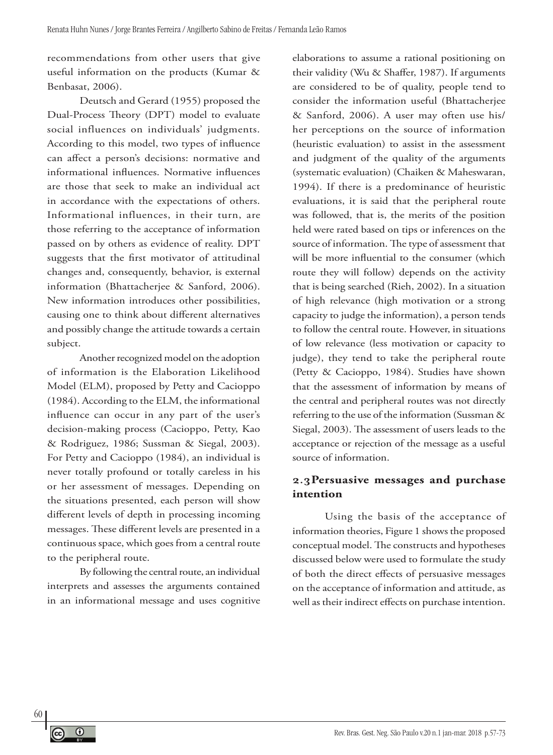recommendations from other users that give useful information on the products (Kumar & Benbasat, 2006).

Deutsch and Gerard (1955) proposed the Dual-Process Theory (DPT) model to evaluate social influences on individuals' judgments. According to this model, two types of influence can affect a person's decisions: normative and informational influences. Normative influences are those that seek to make an individual act in accordance with the expectations of others. Informational influences, in their turn, are those referring to the acceptance of information passed on by others as evidence of reality. DPT suggests that the first motivator of attitudinal changes and, consequently, behavior, is external information (Bhattacherjee & Sanford, 2006). New information introduces other possibilities, causing one to think about different alternatives and possibly change the attitude towards a certain subject.

Another recognized model on the adoption of information is the Elaboration Likelihood Model (ELM), proposed by Petty and Cacioppo (1984). According to the ELM, the informational influence can occur in any part of the user's decision-making process (Cacioppo, Petty, Kao & Rodriguez, 1986; Sussman & Siegal, 2003). For Petty and Cacioppo (1984), an individual is never totally profound or totally careless in his or her assessment of messages. Depending on the situations presented, each person will show different levels of depth in processing incoming messages. These different levels are presented in a continuous space, which goes from a central route to the peripheral route.

By following the central route, an individual interprets and assesses the arguments contained in an informational message and uses cognitive

elaborations to assume a rational positioning on their validity (Wu & Shaffer, 1987). If arguments are considered to be of quality, people tend to consider the information useful (Bhattacherjee & Sanford, 2006). A user may often use his/ her perceptions on the source of information (heuristic evaluation) to assist in the assessment and judgment of the quality of the arguments (systematic evaluation) (Chaiken & Maheswaran, 1994). If there is a predominance of heuristic evaluations, it is said that the peripheral route was followed, that is, the merits of the position held were rated based on tips or inferences on the source of information. The type of assessment that will be more influential to the consumer (which route they will follow) depends on the activity that is being searched (Rieh, 2002). In a situation of high relevance (high motivation or a strong capacity to judge the information), a person tends to follow the central route. However, in situations of low relevance (less motivation or capacity to judge), they tend to take the peripheral route (Petty & Cacioppo, 1984). Studies have shown that the assessment of information by means of the central and peripheral routes was not directly referring to the use of the information (Sussman & Siegal, 2003). The assessment of users leads to the acceptance or rejection of the message as a useful source of information.

### **2.3Persuasive messages and purchase intention**

Using the basis of the acceptance of information theories, Figure 1 shows the proposed conceptual model. The constructs and hypotheses discussed below were used to formulate the study of both the direct effects of persuasive messages on the acceptance of information and attitude, as well as their indirect effects on purchase intention.



 $\odot$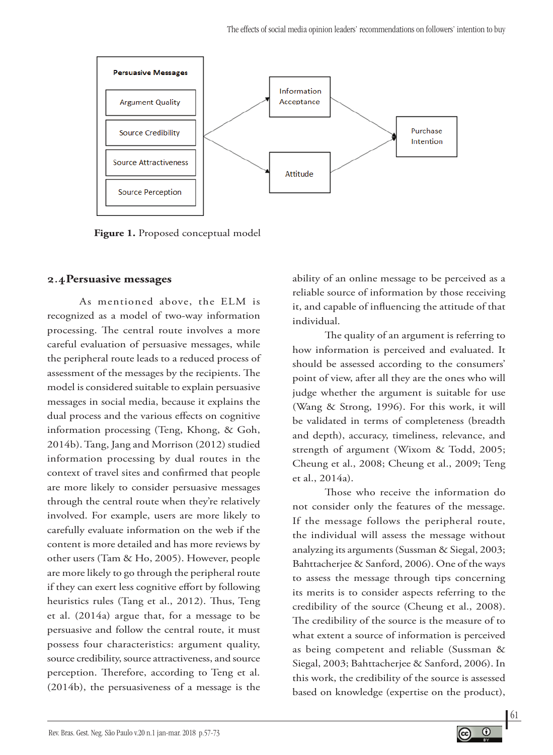

**Figure 1.** Proposed conceptual model

### **2.4Persuasive messages**

As mentioned above, the ELM is recognized as a model of two-way information processing. The central route involves a more careful evaluation of persuasive messages, while the peripheral route leads to a reduced process of assessment of the messages by the recipients. The model is considered suitable to explain persuasive messages in social media, because it explains the dual process and the various effects on cognitive information processing (Teng, Khong, & Goh, 2014b). Tang, Jang and Morrison (2012) studied information processing by dual routes in the context of travel sites and confirmed that people are more likely to consider persuasive messages through the central route when they're relatively involved. For example, users are more likely to carefully evaluate information on the web if the content is more detailed and has more reviews by other users (Tam & Ho, 2005). However, people are more likely to go through the peripheral route if they can exert less cognitive effort by following heuristics rules (Tang et al., 2012). Thus, Teng et al. (2014a) argue that, for a message to be persuasive and follow the central route, it must possess four characteristics: argument quality, source credibility, source attractiveness, and source perception. Therefore, according to Teng et al. (2014b), the persuasiveness of a message is the

ability of an online message to be perceived as a reliable source of information by those receiving it, and capable of influencing the attitude of that individual.

The quality of an argument is referring to how information is perceived and evaluated. It should be assessed according to the consumers' point of view, after all they are the ones who will judge whether the argument is suitable for use (Wang & Strong, 1996). For this work, it will be validated in terms of completeness (breadth and depth), accuracy, timeliness, relevance, and strength of argument (Wixom & Todd, 2005; Cheung et al., 2008; Cheung et al., 2009; Teng et al., 2014a).

Those who receive the information do not consider only the features of the message. If the message follows the peripheral route, the individual will assess the message without analyzing its arguments (Sussman & Siegal, 2003; Bahttacherjee & Sanford, 2006). One of the ways to assess the message through tips concerning its merits is to consider aspects referring to the credibility of the source (Cheung et al., 2008). The credibility of the source is the measure of to what extent a source of information is perceived as being competent and reliable (Sussman & Siegal, 2003; Bahttacherjee & Sanford, 2006). In this work, the credibility of the source is assessed based on knowledge (expertise on the product),

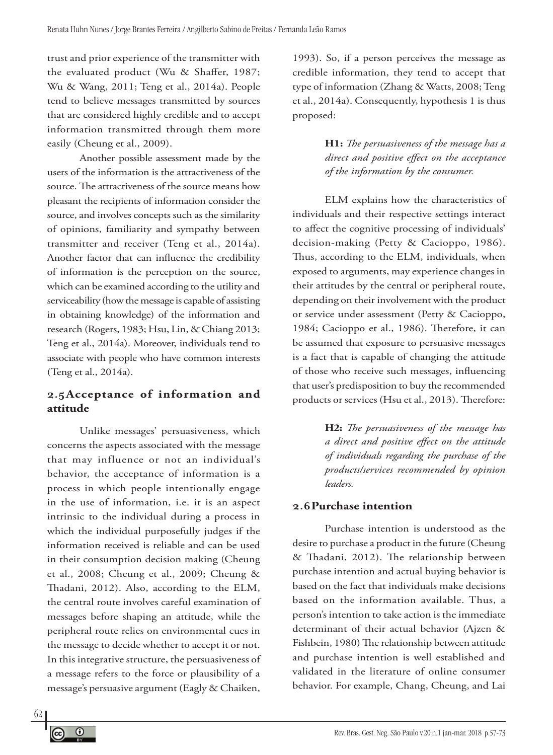trust and prior experience of the transmitter with the evaluated product (Wu & Shaffer, 1987; Wu & Wang, 2011; Teng et al., 2014a). People tend to believe messages transmitted by sources that are considered highly credible and to accept information transmitted through them more easily (Cheung et al., 2009).

Another possible assessment made by the users of the information is the attractiveness of the source. The attractiveness of the source means how pleasant the recipients of information consider the source, and involves concepts such as the similarity of opinions, familiarity and sympathy between transmitter and receiver (Teng et al., 2014a). Another factor that can influence the credibility of information is the perception on the source, which can be examined according to the utility and serviceability (how the message is capable of assisting in obtaining knowledge) of the information and research (Rogers, 1983; Hsu, Lin, & Chiang 2013; Teng et al., 2014a). Moreover, individuals tend to associate with people who have common interests (Teng et al., 2014a).

### **2.5Acceptance of information and attitude**

Unlike messages' persuasiveness, which concerns the aspects associated with the message that may influence or not an individual's behavior, the acceptance of information is a process in which people intentionally engage in the use of information, i.e. it is an aspect intrinsic to the individual during a process in which the individual purposefully judges if the information received is reliable and can be used in their consumption decision making (Cheung et al., 2008; Cheung et al., 2009; Cheung & Thadani, 2012). Also, according to the ELM, the central route involves careful examination of messages before shaping an attitude, while the peripheral route relies on environmental cues in the message to decide whether to accept it or not. In this integrative structure, the persuasiveness of a message refers to the force or plausibility of a message's persuasive argument (Eagly & Chaiken,

1993). So, if a person perceives the message as credible information, they tend to accept that type of information (Zhang & Watts, 2008; Teng et al., 2014a). Consequently, hypothesis 1 is thus proposed:

> **H1:** *The persuasiveness of the message has a direct and positive effect on the acceptance of the information by the consumer.*

ELM explains how the characteristics of individuals and their respective settings interact to affect the cognitive processing of individuals' decision-making (Petty & Cacioppo, 1986). Thus, according to the ELM, individuals, when exposed to arguments, may experience changes in their attitudes by the central or peripheral route, depending on their involvement with the product or service under assessment (Petty & Cacioppo, 1984; Cacioppo et al., 1986). Therefore, it can be assumed that exposure to persuasive messages is a fact that is capable of changing the attitude of those who receive such messages, influencing that user's predisposition to buy the recommended products or services (Hsu et al., 2013). Therefore:

> **H2:** *The persuasiveness of the message has a direct and positive effect on the attitude of individuals regarding the purchase of the products/services recommended by opinion leaders.*

### **2.6Purchase intention**

Purchase intention is understood as the desire to purchase a product in the future (Cheung & Thadani, 2012). The relationship between purchase intention and actual buying behavior is based on the fact that individuals make decisions based on the information available. Thus, a person's intention to take action is the immediate determinant of their actual behavior (Ajzen & Fishbein, 1980) The relationship between attitude and purchase intention is well established and validated in the literature of online consumer behavior. For example, Chang, Cheung, and Lai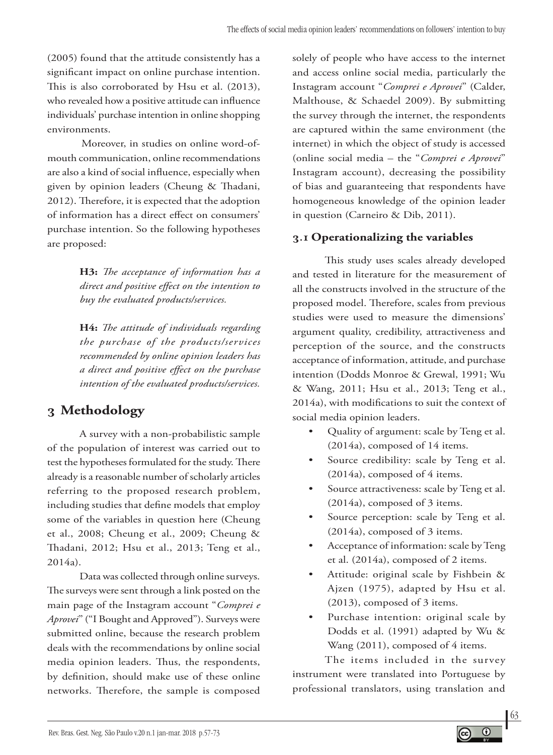(2005) found that the attitude consistently has a significant impact on online purchase intention. This is also corroborated by Hsu et al. (2013), who revealed how a positive attitude can influence individuals' purchase intention in online shopping environments.

Moreover, in studies on online word-ofmouth communication, online recommendations are also a kind of social influence, especially when given by opinion leaders (Cheung & Thadani, 2012). Therefore, it is expected that the adoption of information has a direct effect on consumers' purchase intention. So the following hypotheses are proposed:

> **H3:** *The acceptance of information has a direct and positive effect on the intention to buy the evaluated products/services.*

> **H4:** *The attitude of individuals regarding the purchase of the products/services recommended by online opinion leaders has a direct and positive effect on the purchase intention of the evaluated products/services.*

# **3 Methodology**

A survey with a non-probabilistic sample of the population of interest was carried out to test the hypotheses formulated for the study. There already is a reasonable number of scholarly articles referring to the proposed research problem, including studies that define models that employ some of the variables in question here (Cheung et al., 2008; Cheung et al., 2009; Cheung & Thadani, 2012; Hsu et al., 2013; Teng et al., 2014a).

Data was collected through online surveys. The surveys were sent through a link posted on the main page of the Instagram account "*Comprei e Aprovei*" ("I Bought and Approved"). Surveys were submitted online, because the research problem deals with the recommendations by online social media opinion leaders. Thus, the respondents, by definition, should make use of these online networks. Therefore, the sample is composed

solely of people who have access to the internet and access online social media, particularly the Instagram account "*Comprei e Aprovei*" (Calder, Malthouse, & Schaedel 2009). By submitting the survey through the internet, the respondents are captured within the same environment (the internet) in which the object of study is accessed (online social media – the "*Comprei e Aprovei*" Instagram account), decreasing the possibility of bias and guaranteeing that respondents have homogeneous knowledge of the opinion leader in question (Carneiro & Dib, 2011).

### **3.1 Operationalizing the variables**

This study uses scales already developed and tested in literature for the measurement of all the constructs involved in the structure of the proposed model. Therefore, scales from previous studies were used to measure the dimensions' argument quality, credibility, attractiveness and perception of the source, and the constructs acceptance of information, attitude, and purchase intention (Dodds Monroe & Grewal, 1991; Wu & Wang, 2011; Hsu et al., 2013; Teng et al., 2014a), with modifications to suit the context of social media opinion leaders.

- Quality of argument: scale by Teng et al. (2014a), composed of 14 items.
- Source credibility: scale by Teng et al. (2014a), composed of 4 items.
- Source attractiveness: scale by Teng et al. (2014a), composed of 3 items.
- Source perception: scale by Teng et al. (2014a), composed of 3 items.
- Acceptance of information: scale by Teng et al. (2014a), composed of 2 items.
- Attitude: original scale by Fishbein & Ajzen (1975), adapted by Hsu et al. (2013), composed of 3 items.
- Purchase intention: original scale by Dodds et al. (1991) adapted by Wu & Wang (2011), composed of 4 items.

The items included in the survey instrument were translated into Portuguese by professional translators, using translation and

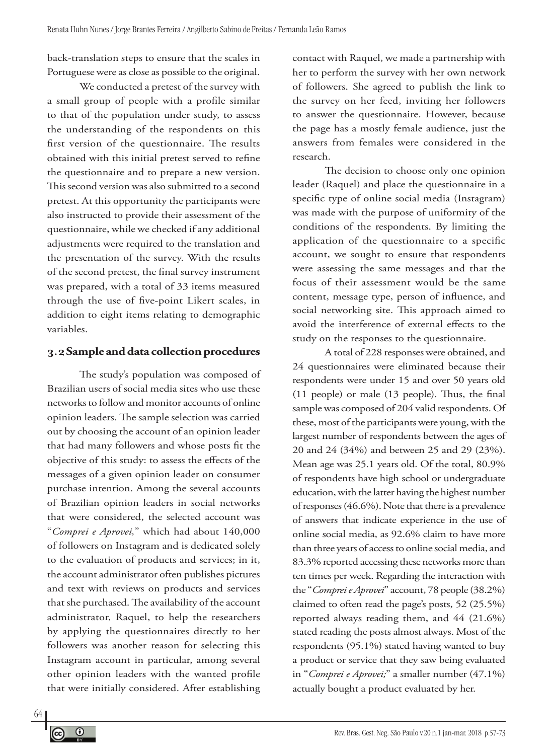back-translation steps to ensure that the scales in Portuguese were as close as possible to the original.

We conducted a pretest of the survey with a small group of people with a profile similar to that of the population under study, to assess the understanding of the respondents on this first version of the questionnaire. The results obtained with this initial pretest served to refine the questionnaire and to prepare a new version. This second version was also submitted to a second pretest. At this opportunity the participants were also instructed to provide their assessment of the questionnaire, while we checked if any additional adjustments were required to the translation and the presentation of the survey. With the results of the second pretest, the final survey instrument was prepared, with a total of 33 items measured through the use of five-point Likert scales, in addition to eight items relating to demographic variables.

### **3.2Sample and data collection procedures**

The study's population was composed of Brazilian users of social media sites who use these networks to follow and monitor accounts of online opinion leaders. The sample selection was carried out by choosing the account of an opinion leader that had many followers and whose posts fit the objective of this study: to assess the effects of the messages of a given opinion leader on consumer purchase intention. Among the several accounts of Brazilian opinion leaders in social networks that were considered, the selected account was "*Comprei e Aprovei,*" which had about 140,000 of followers on Instagram and is dedicated solely to the evaluation of products and services; in it, the account administrator often publishes pictures and text with reviews on products and services that she purchased. The availability of the account administrator, Raquel, to help the researchers by applying the questionnaires directly to her followers was another reason for selecting this Instagram account in particular, among several other opinion leaders with the wanted profile that were initially considered. After establishing

contact with Raquel, we made a partnership with her to perform the survey with her own network of followers. She agreed to publish the link to the survey on her feed, inviting her followers to answer the questionnaire. However, because the page has a mostly female audience, just the answers from females were considered in the research.

The decision to choose only one opinion leader (Raquel) and place the questionnaire in a specific type of online social media (Instagram) was made with the purpose of uniformity of the conditions of the respondents. By limiting the application of the questionnaire to a specific account, we sought to ensure that respondents were assessing the same messages and that the focus of their assessment would be the same content, message type, person of influence, and social networking site. This approach aimed to avoid the interference of external effects to the study on the responses to the questionnaire.

A total of 228 responses were obtained, and 24 questionnaires were eliminated because their respondents were under 15 and over 50 years old (11 people) or male (13 people). Thus, the final sample was composed of 204 valid respondents. Of these, most of the participants were young, with the largest number of respondents between the ages of 20 and 24 (34%) and between 25 and 29 (23%). Mean age was 25.1 years old. Of the total, 80.9% of respondents have high school or undergraduate education, with the latter having the highest number of responses (46.6%). Note that there is a prevalence of answers that indicate experience in the use of online social media, as 92.6% claim to have more than three years of access to online social media, and 83.3% reported accessing these networks more than ten times per week. Regarding the interaction with the "*Comprei e Aprovei*" account, 78 people (38.2%) claimed to often read the page's posts, 52 (25.5%) reported always reading them, and 44 (21.6%) stated reading the posts almost always. Most of the respondents (95.1%) stated having wanted to buy a product or service that they saw being evaluated in "*Comprei e Aprovei;*" a smaller number (47.1%) actually bought a product evaluated by her.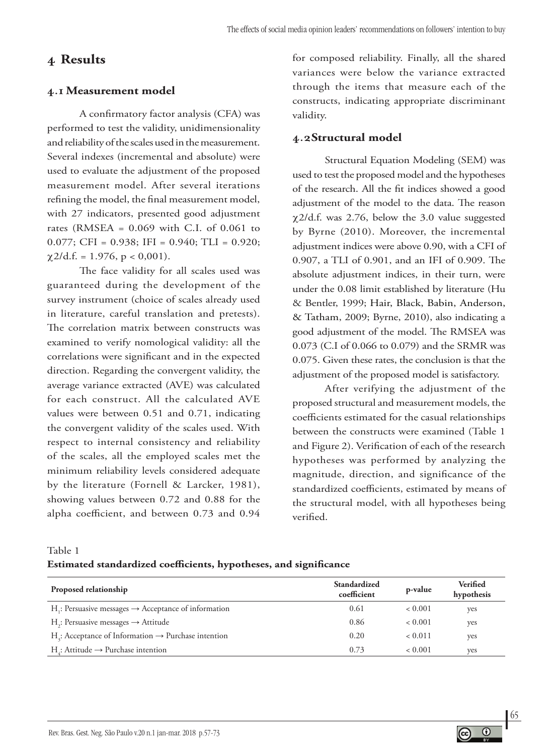# **4 Results**

### **4.1 Measurement model**

A confirmatory factor analysis (CFA) was performed to test the validity, unidimensionality and reliability of the scales used in the measurement. Several indexes (incremental and absolute) were used to evaluate the adjustment of the proposed measurement model. After several iterations refining the model, the final measurement model, with 27 indicators, presented good adjustment rates (RMSEA =  $0.069$  with C.I. of  $0.061$  to 0.077; CFI =  $0.938$ ; IFI =  $0.940$ ; TLI =  $0.920$ ;  $\chi$ 2/d.f. = 1.976, p < 0,001).

The face validity for all scales used was guaranteed during the development of the survey instrument (choice of scales already used in literature, careful translation and pretests). The correlation matrix between constructs was examined to verify nomological validity: all the correlations were significant and in the expected direction. Regarding the convergent validity, the average variance extracted (AVE) was calculated for each construct. All the calculated AVE values were between 0.51 and 0.71, indicating the convergent validity of the scales used. With respect to internal consistency and reliability of the scales, all the employed scales met the minimum reliability levels considered adequate by the literature (Fornell & Larcker, 1981), showing values between 0.72 and 0.88 for the alpha coefficient, and between 0.73 and 0.94

for composed reliability. Finally, all the shared variances were below the variance extracted through the items that measure each of the constructs, indicating appropriate discriminant validity.

### **4.2Structural model**

Structural Equation Modeling (SEM) was used to test the proposed model and the hypotheses of the research. All the fit indices showed a good adjustment of the model to the data. The reason χ2/d.f. was 2.76, below the 3.0 value suggested by Byrne (2010). Moreover, the incremental adjustment indices were above 0.90, with a CFI of 0.907, a TLI of 0.901, and an IFI of 0.909. The absolute adjustment indices, in their turn, were under the 0.08 limit established by literature (Hu & Bentler, 1999; Hair, Black, Babin, Anderson, & Tatham, 2009; Byrne, 2010), also indicating a good adjustment of the model. The RMSEA was 0.073 (C.I of 0.066 to 0.079) and the SRMR was 0.075. Given these rates, the conclusion is that the adjustment of the proposed model is satisfactory.

After verifying the adjustment of the proposed structural and measurement models, the coefficients estimated for the casual relationships between the constructs were examined (Table 1 and Figure 2). Verification of each of the research hypotheses was performed by analyzing the magnitude, direction, and significance of the standardized coefficients, estimated by means of the structural model, with all hypotheses being verified.

Table 1

### **Estimated standardized coefficients, hypotheses, and significance**

| Proposed relationship                                                        | Standardized<br>coefficient | p-value | <b>Verified</b><br>hypothesis |
|------------------------------------------------------------------------------|-----------------------------|---------|-------------------------------|
| H <sub>i</sub> : Persuasive messages $\rightarrow$ Acceptance of information | 0.61                        | < 0.001 | ves                           |
| $H2$ : Persuasive messages $\rightarrow$ Attitude                            | 0.86                        | < 0.001 | yes                           |
| $Ha$ : Acceptance of Information $\rightarrow$ Purchase intention            | 0.20                        | < 0.011 | ves                           |
| H: Attitude $\rightarrow$ Purchase intention                                 | 0.73                        | < 0.001 | ves                           |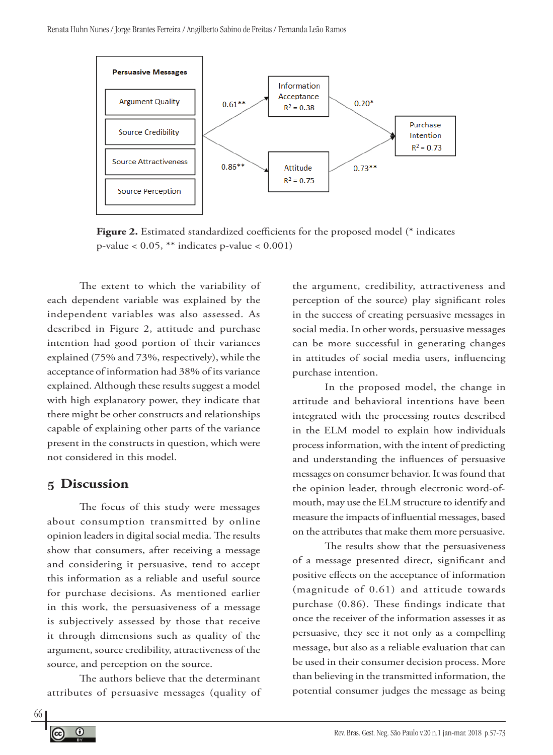

**Figure 2.** Estimated standardized coefficients for the proposed model (\* indicates p-value < 0.05, \*\* indicates p-value < 0.001)

The extent to which the variability of each dependent variable was explained by the independent variables was also assessed. As described in Figure 2, attitude and purchase intention had good portion of their variances explained (75% and 73%, respectively), while the acceptance of information had 38% of its variance explained. Although these results suggest a model with high explanatory power, they indicate that there might be other constructs and relationships capable of explaining other parts of the variance present in the constructs in question, which were not considered in this model.

### **5 Discussion**

The focus of this study were messages about consumption transmitted by online opinion leaders in digital social media. The results show that consumers, after receiving a message and considering it persuasive, tend to accept this information as a reliable and useful source for purchase decisions. As mentioned earlier in this work, the persuasiveness of a message is subjectively assessed by those that receive it through dimensions such as quality of the argument, source credibility, attractiveness of the source, and perception on the source.

The authors believe that the determinant attributes of persuasive messages (quality of the argument, credibility, attractiveness and perception of the source) play significant roles in the success of creating persuasive messages in social media. In other words, persuasive messages can be more successful in generating changes in attitudes of social media users, influencing purchase intention.

In the proposed model, the change in attitude and behavioral intentions have been integrated with the processing routes described in the ELM model to explain how individuals process information, with the intent of predicting and understanding the influences of persuasive messages on consumer behavior. It was found that the opinion leader, through electronic word-ofmouth, may use the ELM structure to identify and measure the impacts of influential messages, based on the attributes that make them more persuasive.

The results show that the persuasiveness of a message presented direct, significant and positive effects on the acceptance of information (magnitude of 0.61) and attitude towards purchase (0.86). These findings indicate that once the receiver of the information assesses it as persuasive, they see it not only as a compelling message, but also as a reliable evaluation that can be used in their consumer decision process. More than believing in the transmitted information, the potential consumer judges the message as being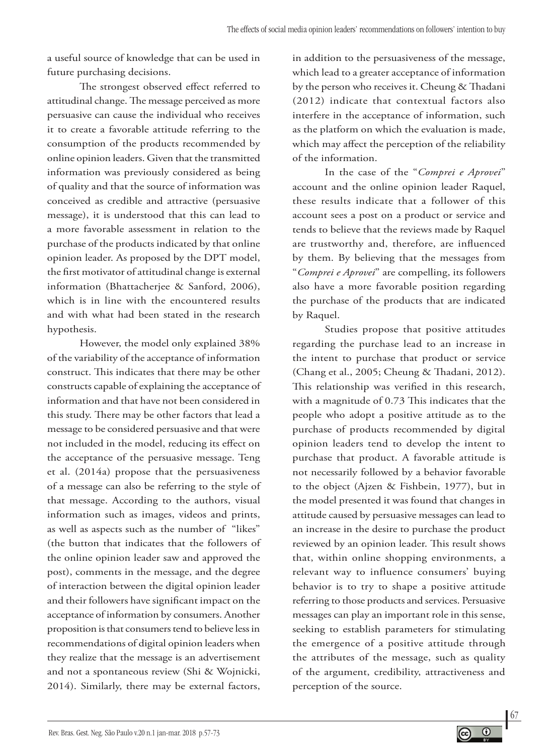a useful source of knowledge that can be used in future purchasing decisions.

The strongest observed effect referred to attitudinal change. The message perceived as more persuasive can cause the individual who receives it to create a favorable attitude referring to the consumption of the products recommended by online opinion leaders. Given that the transmitted information was previously considered as being of quality and that the source of information was conceived as credible and attractive (persuasive message), it is understood that this can lead to a more favorable assessment in relation to the purchase of the products indicated by that online opinion leader. As proposed by the DPT model, the first motivator of attitudinal change is external information (Bhattacherjee & Sanford, 2006), which is in line with the encountered results and with what had been stated in the research hypothesis.

However, the model only explained 38% of the variability of the acceptance of information construct. This indicates that there may be other constructs capable of explaining the acceptance of information and that have not been considered in this study. There may be other factors that lead a message to be considered persuasive and that were not included in the model, reducing its effect on the acceptance of the persuasive message. Teng et al. (2014a) propose that the persuasiveness of a message can also be referring to the style of that message. According to the authors, visual information such as images, videos and prints, as well as aspects such as the number of "likes" (the button that indicates that the followers of the online opinion leader saw and approved the post), comments in the message, and the degree of interaction between the digital opinion leader and their followers have significant impact on the acceptance of information by consumers. Another proposition is that consumers tend to believe less in recommendations of digital opinion leaders when they realize that the message is an advertisement and not a spontaneous review (Shi & Wojnicki, 2014). Similarly, there may be external factors,

in addition to the persuasiveness of the message, which lead to a greater acceptance of information by the person who receives it. Cheung & Thadani (2012) indicate that contextual factors also interfere in the acceptance of information, such as the platform on which the evaluation is made, which may affect the perception of the reliability of the information.

In the case of the "*Comprei e Aprovei*" account and the online opinion leader Raquel, these results indicate that a follower of this account sees a post on a product or service and tends to believe that the reviews made by Raquel are trustworthy and, therefore, are influenced by them. By believing that the messages from "*Comprei e Aprovei*" are compelling, its followers also have a more favorable position regarding the purchase of the products that are indicated by Raquel.

Studies propose that positive attitudes regarding the purchase lead to an increase in the intent to purchase that product or service (Chang et al., 2005; Cheung & Thadani, 2012). This relationship was verified in this research, with a magnitude of 0.73 This indicates that the people who adopt a positive attitude as to the purchase of products recommended by digital opinion leaders tend to develop the intent to purchase that product. A favorable attitude is not necessarily followed by a behavior favorable to the object (Ajzen & Fishbein, 1977), but in the model presented it was found that changes in attitude caused by persuasive messages can lead to an increase in the desire to purchase the product reviewed by an opinion leader. This result shows that, within online shopping environments, a relevant way to influence consumers' buying behavior is to try to shape a positive attitude referring to those products and services. Persuasive messages can play an important role in this sense, seeking to establish parameters for stimulating the emergence of a positive attitude through the attributes of the message, such as quality of the argument, credibility, attractiveness and perception of the source.

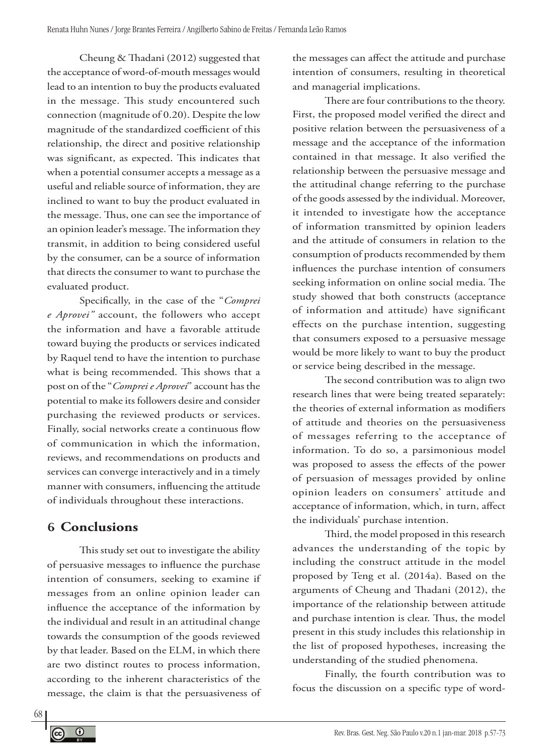Cheung & Thadani (2012) suggested that the acceptance of word-of-mouth messages would lead to an intention to buy the products evaluated in the message. This study encountered such connection (magnitude of 0.20). Despite the low magnitude of the standardized coefficient of this relationship, the direct and positive relationship was significant, as expected. This indicates that when a potential consumer accepts a message as a useful and reliable source of information, they are inclined to want to buy the product evaluated in the message. Thus, one can see the importance of an opinion leader's message. The information they transmit, in addition to being considered useful by the consumer, can be a source of information that directs the consumer to want to purchase the evaluated product.

Specifically, in the case of the "*Comprei e Aprovei"* account, the followers who accept the information and have a favorable attitude toward buying the products or services indicated by Raquel tend to have the intention to purchase what is being recommended. This shows that a post on of the "*Comprei e Aprovei*" account has the potential to make its followers desire and consider purchasing the reviewed products or services. Finally, social networks create a continuous flow of communication in which the information, reviews, and recommendations on products and services can converge interactively and in a timely manner with consumers, influencing the attitude of individuals throughout these interactions.

# **6 Conclusions**

This study set out to investigate the ability of persuasive messages to influence the purchase intention of consumers, seeking to examine if messages from an online opinion leader can influence the acceptance of the information by the individual and result in an attitudinal change towards the consumption of the goods reviewed by that leader. Based on the ELM, in which there are two distinct routes to process information, according to the inherent characteristics of the message, the claim is that the persuasiveness of

the messages can affect the attitude and purchase intention of consumers, resulting in theoretical and managerial implications.

There are four contributions to the theory. First, the proposed model verified the direct and positive relation between the persuasiveness of a message and the acceptance of the information contained in that message. It also verified the relationship between the persuasive message and the attitudinal change referring to the purchase of the goods assessed by the individual. Moreover, it intended to investigate how the acceptance of information transmitted by opinion leaders and the attitude of consumers in relation to the consumption of products recommended by them influences the purchase intention of consumers seeking information on online social media. The study showed that both constructs (acceptance of information and attitude) have significant effects on the purchase intention, suggesting that consumers exposed to a persuasive message would be more likely to want to buy the product or service being described in the message.

The second contribution was to align two research lines that were being treated separately: the theories of external information as modifiers of attitude and theories on the persuasiveness of messages referring to the acceptance of information. To do so, a parsimonious model was proposed to assess the effects of the power of persuasion of messages provided by online opinion leaders on consumers' attitude and acceptance of information, which, in turn, affect the individuals' purchase intention.

Third, the model proposed in this research advances the understanding of the topic by including the construct attitude in the model proposed by Teng et al. (2014a). Based on the arguments of Cheung and Thadani (2012), the importance of the relationship between attitude and purchase intention is clear. Thus, the model present in this study includes this relationship in the list of proposed hypotheses, increasing the understanding of the studied phenomena.

Finally, the fourth contribution was to focus the discussion on a specific type of word-

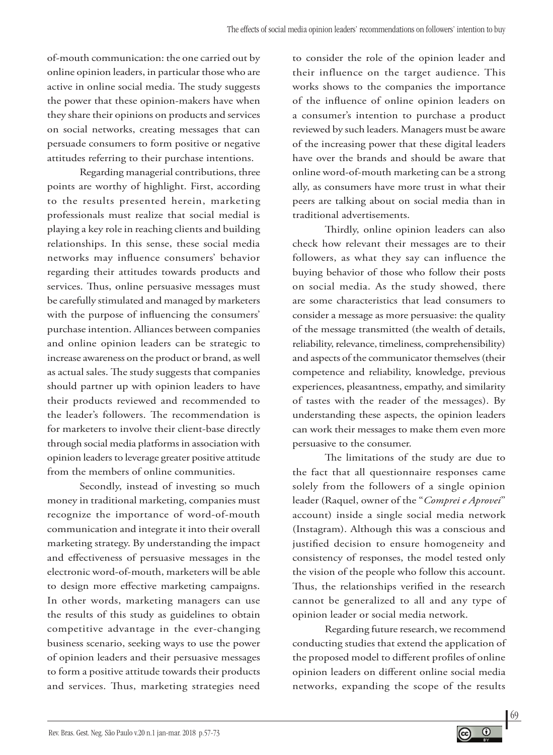of-mouth communication: the one carried out by online opinion leaders, in particular those who are active in online social media. The study suggests the power that these opinion-makers have when they share their opinions on products and services on social networks, creating messages that can persuade consumers to form positive or negative attitudes referring to their purchase intentions.

Regarding managerial contributions, three points are worthy of highlight. First, according to the results presented herein, marketing professionals must realize that social medial is playing a key role in reaching clients and building relationships. In this sense, these social media networks may influence consumers' behavior regarding their attitudes towards products and services. Thus, online persuasive messages must be carefully stimulated and managed by marketers with the purpose of influencing the consumers' purchase intention. Alliances between companies and online opinion leaders can be strategic to increase awareness on the product or brand, as well as actual sales. The study suggests that companies should partner up with opinion leaders to have their products reviewed and recommended to the leader's followers. The recommendation is for marketers to involve their client-base directly through social media platforms in association with opinion leaders to leverage greater positive attitude from the members of online communities.

Secondly, instead of investing so much money in traditional marketing, companies must recognize the importance of word-of-mouth communication and integrate it into their overall marketing strategy. By understanding the impact and effectiveness of persuasive messages in the electronic word-of-mouth, marketers will be able to design more effective marketing campaigns. In other words, marketing managers can use the results of this study as guidelines to obtain competitive advantage in the ever-changing business scenario, seeking ways to use the power of opinion leaders and their persuasive messages to form a positive attitude towards their products and services. Thus, marketing strategies need

to consider the role of the opinion leader and their influence on the target audience. This works shows to the companies the importance of the influence of online opinion leaders on a consumer's intention to purchase a product reviewed by such leaders. Managers must be aware of the increasing power that these digital leaders have over the brands and should be aware that online word-of-mouth marketing can be a strong ally, as consumers have more trust in what their peers are talking about on social media than in traditional advertisements.

Thirdly, online opinion leaders can also check how relevant their messages are to their followers, as what they say can influence the buying behavior of those who follow their posts on social media. As the study showed, there are some characteristics that lead consumers to consider a message as more persuasive: the quality of the message transmitted (the wealth of details, reliability, relevance, timeliness, comprehensibility) and aspects of the communicator themselves (their competence and reliability, knowledge, previous experiences, pleasantness, empathy, and similarity of tastes with the reader of the messages). By understanding these aspects, the opinion leaders can work their messages to make them even more persuasive to the consumer.

The limitations of the study are due to the fact that all questionnaire responses came solely from the followers of a single opinion leader (Raquel, owner of the "*Comprei e Aprovei*" account) inside a single social media network (Instagram). Although this was a conscious and justified decision to ensure homogeneity and consistency of responses, the model tested only the vision of the people who follow this account. Thus, the relationships verified in the research cannot be generalized to all and any type of opinion leader or social media network.

Regarding future research, we recommend conducting studies that extend the application of the proposed model to different profiles of online opinion leaders on different online social media networks, expanding the scope of the results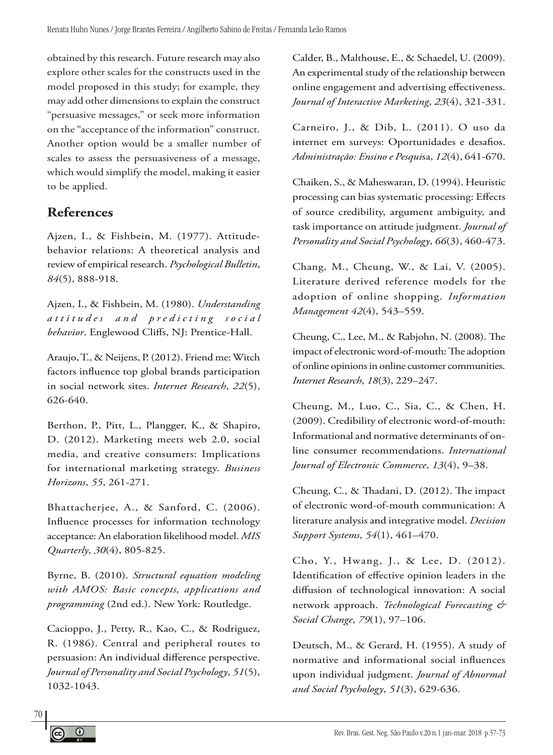obtained by this research. Future research may also explore other scales for the constructs used in the model proposed in this study; for example, they may add other dimensions to explain the construct "persuasive messages," or seek more information on the "acceptance of the information" construct. Another option would be a smaller number of scales to assess the persuasiveness of a message, which would simplify the model, making it easier to be applied.

# **References**

Ajzen, I., & Fishbein, M. (1977). Attitudebehavior relations: A theoretical analysis and review of empirical research. *Psychological Bulletin*, *84*(5), 888-918.

Ajzen, I., & Fishbein, M. (1980). *Understanding a t t i t u d e s a n d p r e d i c t i n g s o c i a l behavior*. Englewood Cliffs, NJ: Prentice-Hall.

Araujo, T., & Neijens, P. (2012). Friend me: Witch factors influence top global brands participation in social network sites. *Internet Research*, *22*(5), 626-640.

Berthon, P., Pitt, L., Plangger, K., & Shapiro, D. (2012). Marketing meets web 2.0, social media, and creative consumers: Implications for international marketing strategy. *Business Horizons*, *55*, 261-271.

Bhattacherjee, A., & Sanford, C. (2006). Influence processes for information technology acceptance: An elaboration likelihood model. *MIS Quarterly*, *30*(4), 805-825.

Byrne, B. (2010). *Structural equation modeling with AMOS: Basic concepts, applications and programming* (2nd ed.). New York: Routledge.

Cacioppo, J., Petty, R., Kao, C., & Rodriguez, R. (1986). Central and peripheral routes to persuasion: An individual difference perspective. *Journal of Personality and Social Psychology*, *51*(5), 1032-1043.

Calder, B., Malthouse, E., & Schaedel, U. (2009). An experimental study of the relationship between online engagement and advertising effectiveness. *Journal of Interactive Marketing*, *23*(4), 321-331.

Carneiro, J., & Dib, L. (2011). O uso da internet em surveys: Oportunidades e desafios. *Administração: Ensino e Pesqui*sa, *12*(4), 641-670.

Chaiken, S., & Maheswaran, D. (1994). Heuristic processing can bias systematic processing: Effects of source credibility, argument ambiguity, and task importance on attitude judgment. *Journal of Personality and Social Psychology*, *66*(3), 460-473.

Chang, M., Cheung, W., & Lai, V. (2005). Literature derived reference models for the adoption of online shopping. *Information Management 42*(4), 543–559.

Cheung, C., Lee, M., & Rabjohn, N. (2008). The impact of electronic word-of-mouth: The adoption of online opinions in online customer communities. *Internet Research*, *18*(3), 229–247.

Cheung, M., Luo, C., Sia, C., & Chen, H. (2009). Credibility of electronic word-of-mouth: Informational and normative determinants of online consumer recommendations. *International Journal of Electronic Commerce*, *13*(4), 9–38.

Cheung, C., & Thadani, D. (2012). The impact of electronic word-of-mouth communication: A literature analysis and integrative model. *Decision Support Systems*, *54*(1), 461–470.

Cho, Y., Hwang, J., & Lee, D. (2012). Identification of effective opinion leaders in the diffusion of technological innovation: A social network approach. *Technological Forecasting & Social Change*, *79*(1), 97–106.

Deutsch, M., & Gerard, H. (1955). A study of normative and informational social influences upon individual judgment. *Journal of Abnormal and Social Psychology*, *51*(3), 629-636.

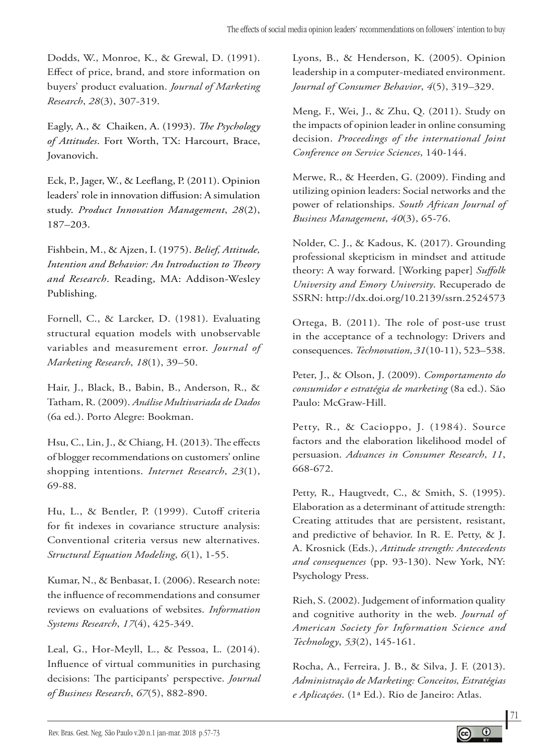Dodds, W., Monroe, K., & Grewal, D. (1991). Effect of price, brand, and store information on buyers' product evaluation. *Journal of Marketing Research*, *28*(3), 307-319.

Eagly, A., & Chaiken, A. (1993). *The Psychology of Attitudes*. Fort Worth, TX: Harcourt, Brace, Jovanovich.

Eck, P., Jager, W., & Leeflang, P. (2011). Opinion leaders' role in innovation diffusion: A simulation study. *Product Innovation Management*, *28*(2), 187–203.

Fishbein, M., & Ajzen, I. (1975). *Belief, Attitude, Intention and Behavior: An Introduction to Theory and Research*. Reading, MA: Addison-Wesley Publishing.

Fornell, C., & Larcker, D. (1981). Evaluating structural equation models with unobservable variables and measurement error. *Journal of Marketing Research*, *18*(1), 39–50.

Hair, J., Black, B., Babin, B., Anderson, R., & Tatham, R. (2009). *Análise Multivariada de Dados* (6a ed.). Porto Alegre: Bookman.

Hsu, C., Lin, J., & Chiang, H. (2013). The effects of blogger recommendations on customers' online shopping intentions. *Internet Research*, *23*(1), 69-88.

Hu, L., & Bentler, P. (1999). Cutoff criteria for fit indexes in covariance structure analysis: Conventional criteria versus new alternatives. *Structural Equation Modeling*, *6*(1), 1-55.

Kumar, N., & Benbasat, I. (2006). Research note: the influence of recommendations and consumer reviews on evaluations of websites. *Information Systems Research*, *17*(4), 425-349.

Leal, G., Hor-Meyll, L., & Pessoa, L. (2014). Influence of virtual communities in purchasing decisions: The participants' perspective. *Journal of Business Research*, *67*(5), 882-890.

Lyons, B., & Henderson, K. (2005). Opinion leadership in a computer-mediated environment. *Journal of Consumer Behavior*, *4*(5), 319–329.

Meng, F., Wei, J., & Zhu, Q. (2011). Study on the impacts of opinion leader in online consuming decision. *Proceedings of the international Joint Conference on Service Sciences*, 140-144.

Merwe, R., & Heerden, G. (2009). Finding and utilizing opinion leaders: Social networks and the power of relationships. *South African Journal of Business Management*, *40*(3), 65-76.

Nolder, C. J., & Kadous, K. (2017). Grounding professional skepticism in mindset and attitude theory: A way forward. [Working paper] *Suffolk University and Emory University*. Recuperado de SSRN: http://dx.doi.org/10.2139/ssrn.2524573

Ortega, B. (2011). The role of post-use trust in the acceptance of a technology: Drivers and consequences. *Technovation*, *31*(10-11), 523–538.

Peter, J., & Olson, J. (2009). *Comportamento do consumidor e estratégia de marketing* (8a ed.). São Paulo: McGraw-Hill.

Petty, R., & Cacioppo, J. (1984). Source factors and the elaboration likelihood model of persuasion. *Advances in Consumer Research*, *11*, 668-672.

Petty, R., Haugtvedt, C., & Smith, S. (1995). Elaboration as a determinant of attitude strength: Creating attitudes that are persistent, resistant, and predictive of behavior. In R. E. Petty, & J. A. Krosnick (Eds.), *Attitude strength: Antecedents and consequences* (pp. 93-130). New York, NY: Psychology Press.

Rieh, S. (2002). Judgement of information quality and cognitive authority in the web. *Journal of American Society for Information Science and Technology*, *53*(2), 145-161.

Rocha, A., Ferreira, J. B., & Silva, J. F. (2013). *Administração de Marketing: Conceitos, Estratégias e Aplicações*. (1ª Ed.). Rio de Janeiro: Atlas.

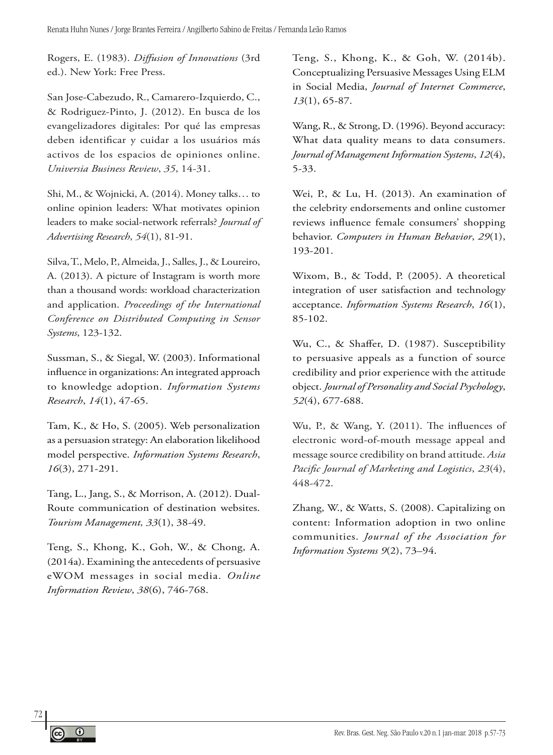Rogers, E. (1983). *Diffusion of Innovations* (3rd ed.). New York: Free Press.

San Jose-Cabezudo, R., Camarero-Izquierdo, C., & Rodriguez-Pinto, J. (2012). En busca de los evangelizadores digitales: Por qué las empresas deben identificar y cuidar a los usuários más activos de los espacios de opiniones online. *Universia Business Review*, *35*, 14-31.

Shi, M., & Wojnicki, A. (2014). Money talks… to online opinion leaders: What motivates opinion leaders to make social-network referrals? *Journal of Advertising Research*, *54*(1), 81-91.

Silva, T., Melo, P., Almeida, J., Salles, J., & Loureiro, A. (2013). A picture of Instagram is worth more than a thousand words: workload characterization and application. *Proceedings of the International Conference on Distributed Computing in Sensor Systems*, 123-132.

Sussman, S., & Siegal, W. (2003). Informational influence in organizations: An integrated approach to knowledge adoption. *Information Systems Research*, *14*(1), 47-65.

Tam, K., & Ho, S. (2005). Web personalization as a persuasion strategy: An elaboration likelihood model perspective. *Information Systems Research*, *16*(3), 271-291.

Tang, L., Jang, S., & Morrison, A. (2012). Dual-Route communication of destination websites. *Tourism Management, 33*(1), 38-49.

Teng, S., Khong, K., Goh, W., & Chong, A. (2014a). Examining the antecedents of persuasive eWOM messages in social media. *Online Information Review*, *38*(6), 746-768.

Teng, S., Khong, K., & Goh, W. (2014b). Conceptualizing Persuasive Messages Using ELM in Social Media, *Journal of Internet Commerce*, *13*(1), 65-87.

Wang, R., & Strong, D. (1996). Beyond accuracy: What data quality means to data consumers. *Journal of Management Information Systems*, *12*(4), 5-33.

Wei, P., & Lu, H. (2013). An examination of the celebrity endorsements and online customer reviews influence female consumers' shopping behavior. *Computers in Human Behavior*, *29*(1), 193-201.

Wixom, B., & Todd, P. (2005). A theoretical integration of user satisfaction and technology acceptance. *Information Systems Research*, *16*(1), 85-102.

Wu, C., & Shaffer, D. (1987). Susceptibility to persuasive appeals as a function of source credibility and prior experience with the attitude object. *Journal of Personality and Social Psychology*, *52*(4), 677-688.

Wu, P., & Wang, Y. (2011). The influences of electronic word-of-mouth message appeal and message source credibility on brand attitude. *Asia Pacific Journal of Marketing and Logistics*, *23*(4), 448-472.

Zhang, W., & Watts, S. (2008). Capitalizing on content: Information adoption in two online communities. *Journal of the Association for Information Systems 9*(2), 73–94.

72

 $^\circledR$